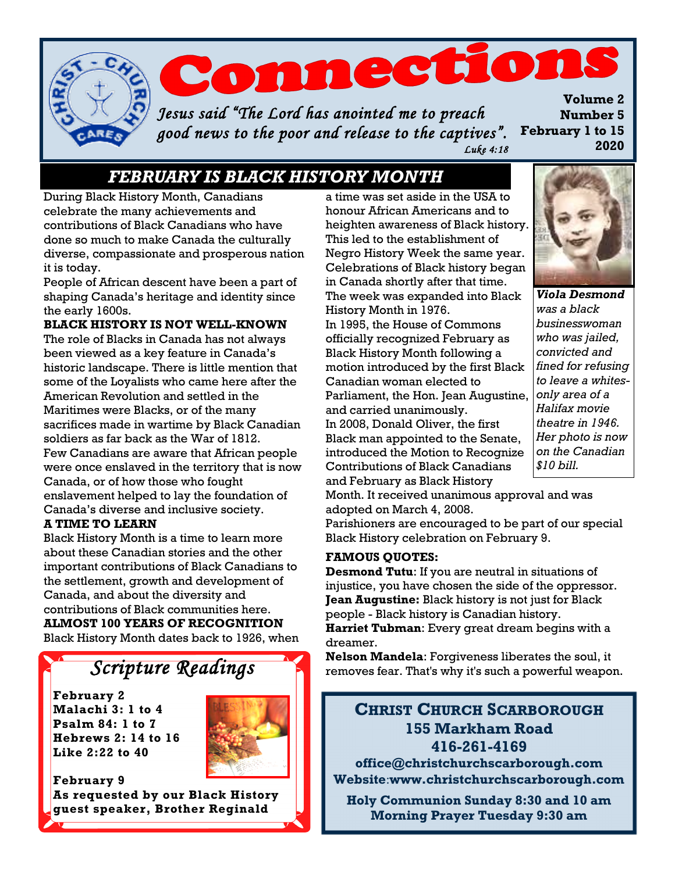

 *Luke 4:18* 

## *FEBRUARY IS BLACK HISTORY MONTH*

During Black History Month, Canadians celebrate the many achievements and contributions of Black Canadians who have done so much to make Canada the culturally diverse, compassionate and prosperous nation it is today.

People of African descent have been a part of shaping Canada's heritage and identity since the early 1600s.

### **BLACK HISTORY IS NOT WELL-KNOWN**

The role of Blacks in Canada has not always been viewed as a key feature in Canada's historic landscape. There is little mention that some of the Loyalists who came here after the American Revolution and settled in the Maritimes were Blacks, or of the many sacrifices made in wartime by Black Canadian soldiers as far back as the War of 1812. Few Canadians are aware that African people were once enslaved in the territory that is now Canada, or of how those who fought enslavement helped to lay the foundation of Canada's diverse and inclusive society.

## **A TIME TO LEARN**

Black History Month is a time to learn more about these Canadian stories and the other important contributions of Black Canadians to the settlement, growth and development of Canada, and about the diversity and contributions of Black communities here. **ALMOST 100 YEARS OF RECOGNITION** Black History Month dates back to 1926, when

# *Scripture Readings*

**February 2 Malachi 3: 1 to 4 Psalm 84: 1 to 7 Hebrews 2: 14 to 16 Like 2:22 to 40**



**February 9 As requested by our Black History guest speaker, Brother Reginald** 

a time was set aside in the USA to honour African Americans and to heighten awareness of Black history. This led to the establishment of Negro History Week the same year. Celebrations of Black history began in Canada shortly after that time. The week was expanded into Black History Month in 1976. In 1995, the House of Commons officially recognized February as Black History Month following a motion introduced by the first Black Canadian woman elected to Parliament, the Hon. Jean Augustine, and carried unanimously. In 2008, Donald Oliver, the first Black man appointed to the Senate, introduced the [Motion to Recognize](http://www.parl.gc.ca/39/2/parlbus/chambus/senate/deb-e/034db_2008-02-14-E.htm?Language=E&Parl=39&Ses=2#74)  [Contributions of Black Canadians](http://www.parl.gc.ca/39/2/parlbus/chambus/senate/deb-e/034db_2008-02-14-E.htm?Language=E&Parl=39&Ses=2#74)  [and February as Black History](http://www.parl.gc.ca/39/2/parlbus/chambus/senate/deb-e/034db_2008-02-14-E.htm?Language=E&Parl=39&Ses=2#74) 



*Viola Desmond was a black businesswoman who was jailed, convicted and fined for refusing to leave a whitesonly area of a Halifax movie theatre in 1946. Her photo is now on the Canadian \$10 bill.*

[Month.](http://www.parl.gc.ca/39/2/parlbus/chambus/senate/deb-e/034db_2008-02-14-E.htm?Language=E&Parl=39&Ses=2#74) It received unanimous approval and was adopted on March 4, 2008.

Parishioners are encouraged to be part of our special Black History celebration on February 9.

#### **FAMOUS QUOTES:**

**Desmond Tutu**: If you are neutral in situations of injustice, you have chosen the side of the oppressor. **Jean Augustine:** Black history is not just for Black people - Black history is Canadian history. **Harriet Tubman**: Every great dream begins with a dreamer.

**Nelson Mandela**: Forgiveness liberates the soul, it removes fear. That's why it's such a powerful weapon.

## **CHRIST CHURCH SCARBOROUGH 155 Markham Road 416-261-4169**

**office@christchurchscarborough.com Website**:**www.christchurchscarborough.com**

**Holy Communion Sunday 8:30 and 10 am Morning Prayer Tuesday 9:30 am**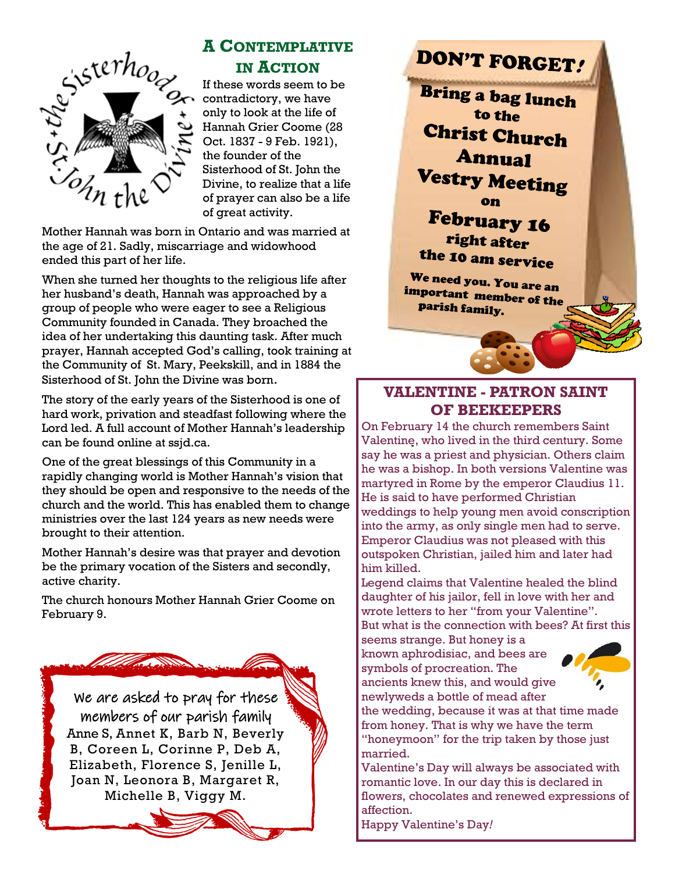

## **A CONTEMPLATIVE IN ACTION**

If these words seem to be contradictory, we have only to look at the life of Hannah Grier Coome (28 Oct. 1837 - 9 Feb. 1921), the founder of the Sisterhood of St. John the Divine, to realize that a life of prayer can also be a life of great activity.

Mother Hannah was born in Ontario and was married at the age of 21. Sadly, miscarriage and widowhood ended this part of her life.

When she turned her thoughts to the religious life after her husband's death, Hannah was approached by a group of people who were eager to see a Religious Community founded in Canada. They broached the idea of her undertaking this daunting task. After much prayer, Hannah accepted God's calling, took training at the Community of St. Mary, Peekskill, and in 1884 the Sisterhood of St. John the Divine was born.

The story of the early years of the Sisterhood is one of hard work, privation and steadfast following where the Lord led. A full account of Mother Hannah's leadership can be found online at ssjd.ca.

One of the great blessings of this Community in a rapidly changing world is Mother Hannah's vision that they should be open and responsive to the needs of the church and the world. This has enabled them to change ministries over the last 124 years as new needs were brought to their attention.

Mother Hannah's desire was that prayer and devotion be the primary vocation of the Sisters and secondly, active charity.

The church honours Mother Hannah Grier Coome on February 9.

We are asked to pray for these members of our parish family Anne S, Annet K, Barb N, Beverly B, Coreen L, Corinne P, Deb A, Elizabeth, Florence S, Jenille L, Joan N, Leonora B, Margaret R, Michelle B, Viggy M.

# DON'T FORGET!

Bring a bag lunch to the **Christ Church Annual Vestry Meeting** 

**February 16** right after the 10 am service

We need you. You are an important member of the<br>Darish forming the parish forming parish family.

## **VALENTINE - PATRON SAINT OF BEEKEEPERS**

On February 14 the church remembers Saint Valentine, who lived in the third century. Some say he was a priest and physician. Others claim he was a bishop. In both versions Valentine was martyred in Rome by the emperor Claudius 11. He is said to have performed Christian weddings to help young men avoid conscription into the army, as only single men had to serve. Emperor Claudius was not pleased with this outspoken Christian, jailed him and later had him killed.

Legend claims that Valentine healed the blind daughter of his jailor, fell in love with her and wrote letters to her "from your Valentine". But what is the connection with bees? At first this

seems strange. But honey is a known aphrodisiac, and bees are symbols of procreation. The ancients knew this, and would give newlyweds a bottle of mead after



the wedding, because it was at that time made from honey. That is why we have the term "honeymoon" for the trip taken by those just married.

Valentine's Day will always be associated with romantic love. In our day this is declared in flowers, chocolates and renewed expressions of affection.

Happy Valentine's Day*!*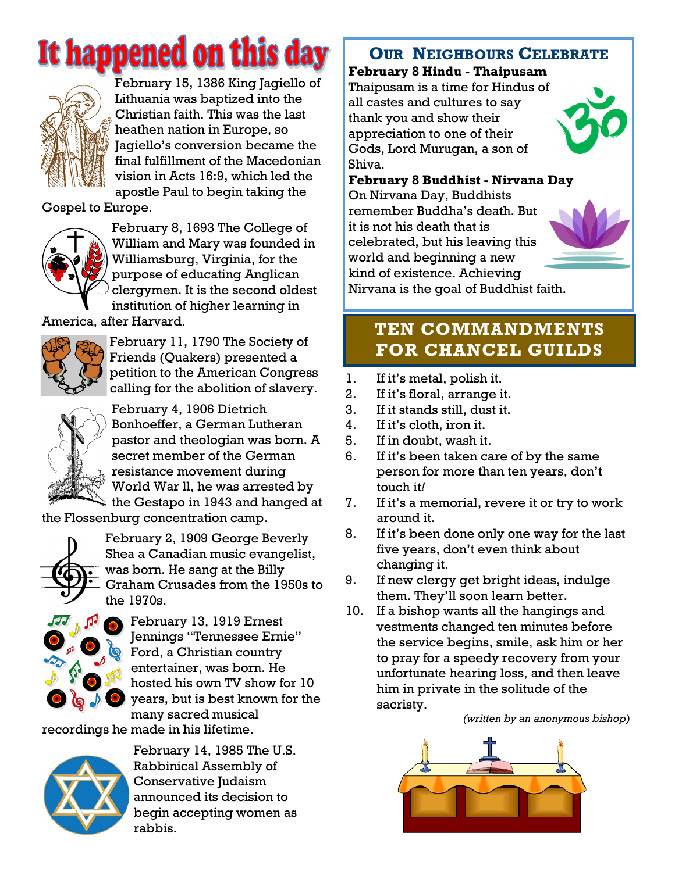# It happened on this day



February 15, 1386 King Jagiello of Lithuania was baptized into the Christian faith. This was the last heathen nation in Europe, so Jagiello's conversion became the final fulfillment of the Macedonian vision in Acts 16:9, which led the apostle Paul to begin taking the

Gospel to Europe.



February 8, 1693 The College of William and Mary was founded in Williamsburg, Virginia, for the purpose of educating Anglican clergymen. It is the second oldest institution of higher learning in

America, after Harvard.



February 11, 1790 The Society of Friends (Quakers) presented a petition to the American Congress calling for the abolition of slavery.



February 4, 1906 Dietrich Bonhoeffer, a German Lutheran pastor and theologian was born. A secret member of the German resistance movement during World War ll, he was arrested by the Gestapo in 1943 and hanged at

the Flossenburg concentration camp.



February 2, 1909 George Beverly Shea a Canadian music evangelist, was born. He sang at the Billy Graham Crusades from the 1950s to the 1970s.



February 13, 1919 Ernest Jennings "Tennessee Ernie" Ford, a Christian country entertainer, was born. He hosted his own TV show for 10 years, but is best known for the many sacred musical

recordings he made in his lifetime.



February 14, 1985 The U.S. Rabbinical Assembly of Conservative Judaism announced its decision to begin accepting women as rabbis.

# **OUR NEIGHBOURS CELEBRATE**

**February 8 Hindu - Thaipusam**

Thaipusam is a time for Hindus of all castes and cultures to say thank you and show their appreciation to one of their Gods, Lord Murugan, a son of Shiva.



**February 8 Buddhist - Nirvana Day**

On Nirvana Day, Buddhists remember Buddha's death. But it is not his death that is celebrated, but his leaving this world and beginning a new kind of existence. Achieving Nirvana is the goal of Buddhist faith.



# **TEN COMMANDMENTS FOR CHANCEL GUILDS**

- 1. If it's metal, polish it.
- 2. If it's floral, arrange it.
- 3. If it stands still, dust it.
- 4. If it's cloth, iron it.
- 5. If in doubt, wash it.
- 6. If it's been taken care of by the same person for more than ten years, don't touch it*!*
- 7. If it's a memorial, revere it or try to work around it.
- 8. If it's been done only one way for the last five years, don't even think about changing it.
- 9. If new clergy get bright ideas, indulge them. They'll soon learn better.
- 10. If a bishop wants all the hangings and vestments changed ten minutes before the service begins, smile, ask him or her to pray for a speedy recovery from your unfortunate hearing loss, and then leave him in private in the solitude of the sacristy.

 *(written by an anonymous bishop)*